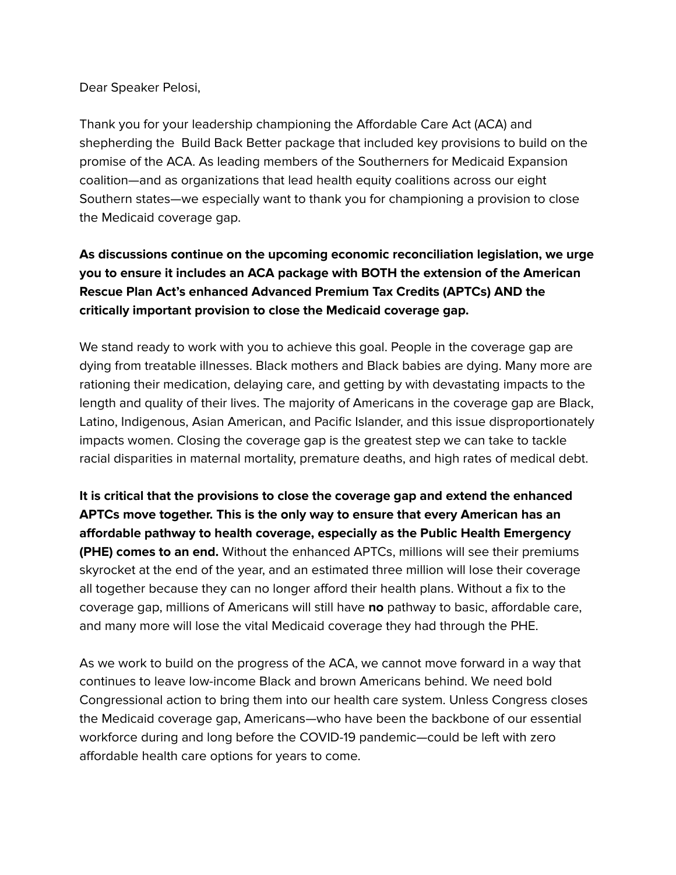Dear Speaker Pelosi,

Thank you for your leadership championing the Affordable Care Act (ACA) and shepherding the Build Back Better package that included key provisions to build on the promise of the ACA. As leading members of the Southerners for Medicaid Expansion coalition—and as organizations that lead health equity coalitions across our eight Southern states—we especially want to thank you for championing a provision to close the Medicaid coverage gap.

## **As discussions continue on the upcoming economic reconciliation legislation, we urge you to ensure it includes an ACA package with BOTH the extension of the American Rescue Plan Act's enhanced Advanced Premium Tax Credits (APTCs) AND the critically important provision to close the Medicaid coverage gap.**

We stand ready to work with you to achieve this goal. People in the coverage gap are dying from treatable illnesses. Black mothers and Black babies are dying. Many more are rationing their medication, delaying care, and getting by with devastating impacts to the length and quality of their lives. The majority of Americans in the coverage gap are Black, Latino, Indigenous, Asian American, and Pacific Islander, and this issue disproportionately impacts women. Closing the coverage gap is the greatest step we can take to tackle racial disparities in maternal mortality, premature deaths, and high rates of medical debt.

**It is critical that the provisions to close the coverage gap and extend the enhanced APTCs move together. This is the only way to ensure that every American has an affordable pathway to health coverage, especially as the Public Health Emergency (PHE) comes to an end.** Without the enhanced APTCs, millions will see their premiums skyrocket at the end of the year, and an estimated three million will lose their coverage all together because they can no longer afford their health plans. Without a fix to the coverage gap, millions of Americans will still have **no** pathway to basic, affordable care, and many more will lose the vital Medicaid coverage they had through the PHE.

As we work to build on the progress of the ACA, we cannot move forward in a way that continues to leave low-income Black and brown Americans behind. We need bold Congressional action to bring them into our health care system. Unless Congress closes the Medicaid coverage gap, Americans—who have been the backbone of our essential workforce during and long before the COVID-19 pandemic—could be left with zero affordable health care options for years to come.